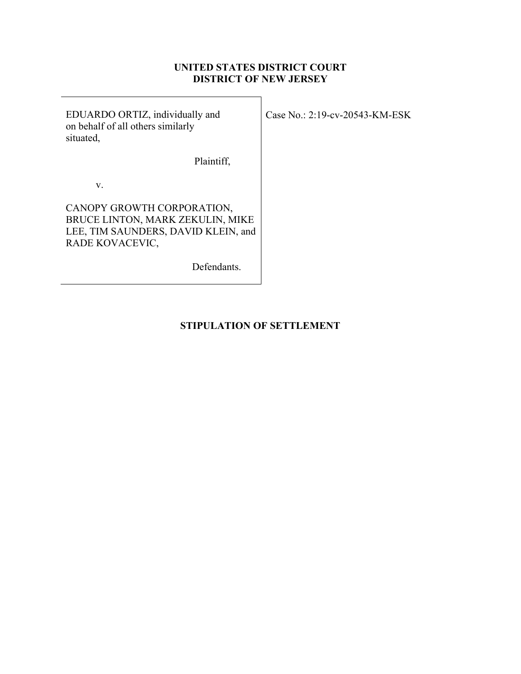## **UNITED STATES DISTRICT COURT DISTRICT OF NEW JERSEY**

EDUARDO ORTIZ, individually and on behalf of all others similarly situated,

Plaintiff,

v.

CANOPY GROWTH CORPORATION, BRUCE LINTON, MARK ZEKULIN, MIKE LEE, TIM SAUNDERS, DAVID KLEIN, and RADE KOVACEVIC,

Defendants.

**STIPULATION OF SETTLEMENT**

Case No.: 2:19-cv-20543-KM-ESK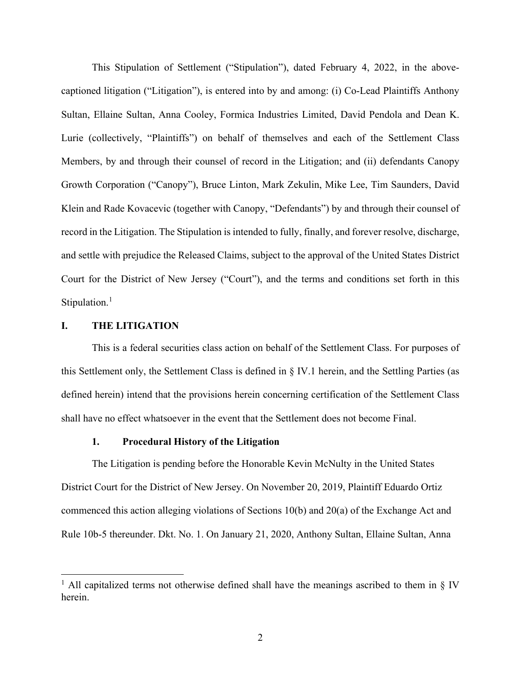This Stipulation of Settlement ("Stipulation"), dated February 4, 2022, in the abovecaptioned litigation ("Litigation"), is entered into by and among: (i) Co-Lead Plaintiffs Anthony Sultan, Ellaine Sultan, Anna Cooley, Formica Industries Limited, David Pendola and Dean K. Lurie (collectively, "Plaintiffs") on behalf of themselves and each of the Settlement Class Members, by and through their counsel of record in the Litigation; and (ii) defendants Canopy Growth Corporation ("Canopy"), Bruce Linton, Mark Zekulin, Mike Lee, Tim Saunders, David Klein and Rade Kovacevic (together with Canopy, "Defendants") by and through their counsel of record in the Litigation. The Stipulation is intended to fully, finally, and forever resolve, discharge, and settle with prejudice the Released Claims, subject to the approval of the United States District Court for the District of New Jersey ("Court"), and the terms and conditions set forth in this Stipulation.<sup>[1](#page-1-0)</sup>

### **I. THE LITIGATION**

This is a federal securities class action on behalf of the Settlement Class. For purposes of this Settlement only, the Settlement Class is defined in § IV.1 herein, and the Settling Parties (as defined herein) intend that the provisions herein concerning certification of the Settlement Class shall have no effect whatsoever in the event that the Settlement does not become Final.

## **1. Procedural History of the Litigation**

The Litigation is pending before the Honorable Kevin McNulty in the United States District Court for the District of New Jersey. On November 20, 2019, Plaintiff Eduardo Ortiz commenced this action alleging violations of Sections 10(b) and 20(a) of the Exchange Act and Rule 10b-5 thereunder. Dkt. No. 1. On January 21, 2020, Anthony Sultan, Ellaine Sultan, Anna

<span id="page-1-0"></span><sup>&</sup>lt;sup>1</sup> All capitalized terms not otherwise defined shall have the meanings ascribed to them in § IV herein.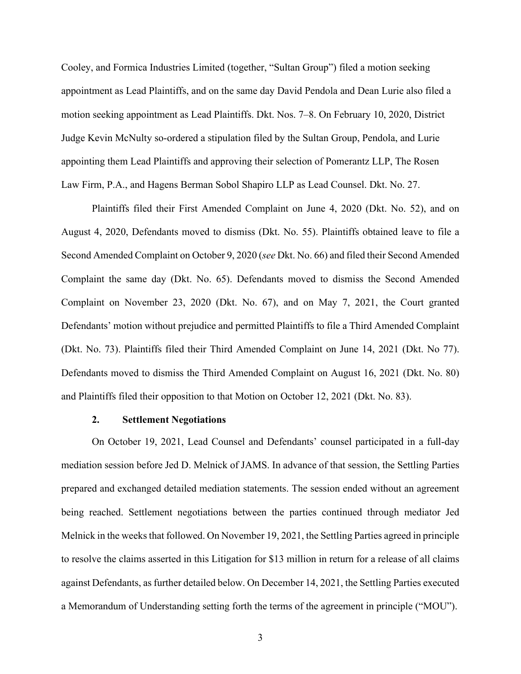Cooley, and Formica Industries Limited (together, "Sultan Group") filed a motion seeking appointment as Lead Plaintiffs, and on the same day David Pendola and Dean Lurie also filed a motion seeking appointment as Lead Plaintiffs. Dkt. Nos. 7–8. On February 10, 2020, District Judge Kevin McNulty so-ordered a stipulation filed by the Sultan Group, Pendola, and Lurie appointing them Lead Plaintiffs and approving their selection of Pomerantz LLP, The Rosen Law Firm, P.A., and Hagens Berman Sobol Shapiro LLP as Lead Counsel. Dkt. No. 27.

Plaintiffs filed their First Amended Complaint on June 4, 2020 (Dkt. No. 52), and on August 4, 2020, Defendants moved to dismiss (Dkt. No. 55). Plaintiffs obtained leave to file a Second Amended Complaint on October 9, 2020 (*see* Dkt. No. 66) and filed their Second Amended Complaint the same day (Dkt. No. 65). Defendants moved to dismiss the Second Amended Complaint on November 23, 2020 (Dkt. No. 67), and on May 7, 2021, the Court granted Defendants' motion without prejudice and permitted Plaintiffs to file a Third Amended Complaint (Dkt. No. 73). Plaintiffs filed their Third Amended Complaint on June 14, 2021 (Dkt. No 77). Defendants moved to dismiss the Third Amended Complaint on August 16, 2021 (Dkt. No. 80) and Plaintiffs filed their opposition to that Motion on October 12, 2021 (Dkt. No. 83).

#### **2. Settlement Negotiations**

On October 19, 2021, Lead Counsel and Defendants' counsel participated in a full-day mediation session before Jed D. Melnick of JAMS. In advance of that session, the Settling Parties prepared and exchanged detailed mediation statements. The session ended without an agreement being reached. Settlement negotiations between the parties continued through mediator Jed Melnick in the weeks that followed. On November 19, 2021, the Settling Parties agreed in principle to resolve the claims asserted in this Litigation for \$13 million in return for a release of all claims against Defendants, as further detailed below. On December 14, 2021, the Settling Parties executed a Memorandum of Understanding setting forth the terms of the agreement in principle ("MOU").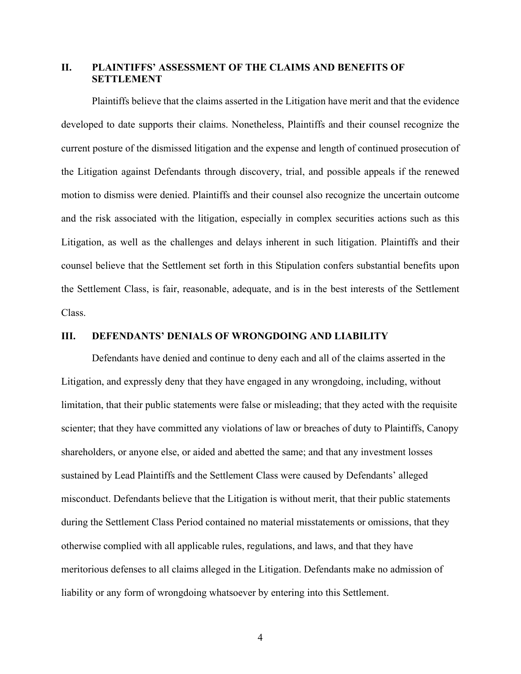## **II. PLAINTIFFS' ASSESSMENT OF THE CLAIMS AND BENEFITS OF SETTLEMENT**

Plaintiffs believe that the claims asserted in the Litigation have merit and that the evidence developed to date supports their claims. Nonetheless, Plaintiffs and their counsel recognize the current posture of the dismissed litigation and the expense and length of continued prosecution of the Litigation against Defendants through discovery, trial, and possible appeals if the renewed motion to dismiss were denied. Plaintiffs and their counsel also recognize the uncertain outcome and the risk associated with the litigation, especially in complex securities actions such as this Litigation, as well as the challenges and delays inherent in such litigation. Plaintiffs and their counsel believe that the Settlement set forth in this Stipulation confers substantial benefits upon the Settlement Class, is fair, reasonable, adequate, and is in the best interests of the Settlement Class.

## **III. DEFENDANTS' DENIALS OF WRONGDOING AND LIABILITY**

Defendants have denied and continue to deny each and all of the claims asserted in the Litigation, and expressly deny that they have engaged in any wrongdoing, including, without limitation, that their public statements were false or misleading; that they acted with the requisite scienter; that they have committed any violations of law or breaches of duty to Plaintiffs, Canopy shareholders, or anyone else, or aided and abetted the same; and that any investment losses sustained by Lead Plaintiffs and the Settlement Class were caused by Defendants' alleged misconduct. Defendants believe that the Litigation is without merit, that their public statements during the Settlement Class Period contained no material misstatements or omissions, that they otherwise complied with all applicable rules, regulations, and laws, and that they have meritorious defenses to all claims alleged in the Litigation. Defendants make no admission of liability or any form of wrongdoing whatsoever by entering into this Settlement.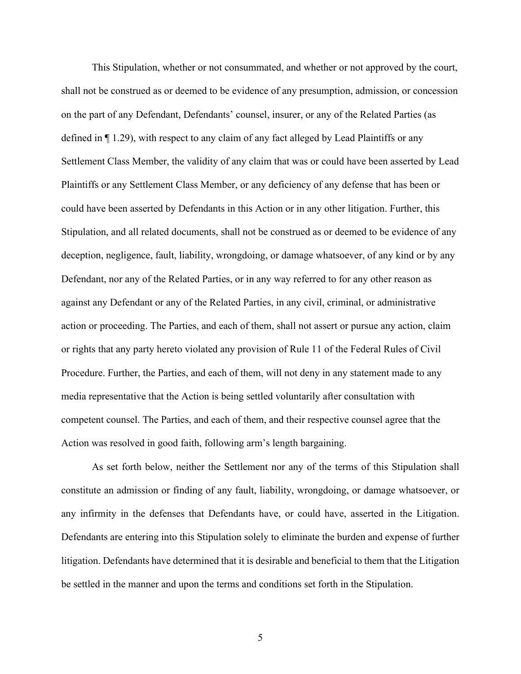This Stipulation, whether or not consummated, and whether or not approved by the court, shall not be construed as or deemed to be evidence of any presumption, admission, or concession on the part of any Defendant, Defendants' counsel, insurer, or any of the Related Parties (as defined in ¶ 1.29), with respect to any claim of any fact alleged by Lead Plaintiffs or any Settlement Class Member, the validity of any claim that was or could have been asserted by Lead Plaintiffs or any Settlement Class Member, or any deficiency of any defense that has been or could have been asserted by Defendants in this Action or in any other litigation. Further, this Stipulation, and all related documents, shall not be construed as or deemed to be evidence of any deception, negligence, fault, liability, wrongdoing, or damage whatsoever, of any kind or by any Defendant, nor any of the Related Parties, or in any way referred to for any other reason as against any Defendant or any of the Related Parties, in any civil, criminal, or administrative action or proceeding. The Parties, and each of them, shall not assert or pursue any action, claim or rights that any party hereto violated any provision of Rule 11 of the Federal Rules of Civil Procedure. Further, the Parties, and each of them, will not deny in any statement made to any media representative that the Action is being settled voluntarily after consultation with competent counsel. The Parties, and each of them, and their respective counsel agree that the Action was resolved in good faith, following arm's length bargaining.

As set forth below, neither the Settlement nor any of the terms of this Stipulation shall constitute an admission or finding of any fault, liability, wrongdoing, or damage whatsoever, or any infirmity in the defenses that Defendants have, or could have, asserted in the Litigation. Defendants are entering into this Stipulation solely to eliminate the burden and expense of further litigation. Defendants have determined that it is desirable and beneficial to them that the Litigation be settled in the manner and upon the terms and conditions set forth in the Stipulation.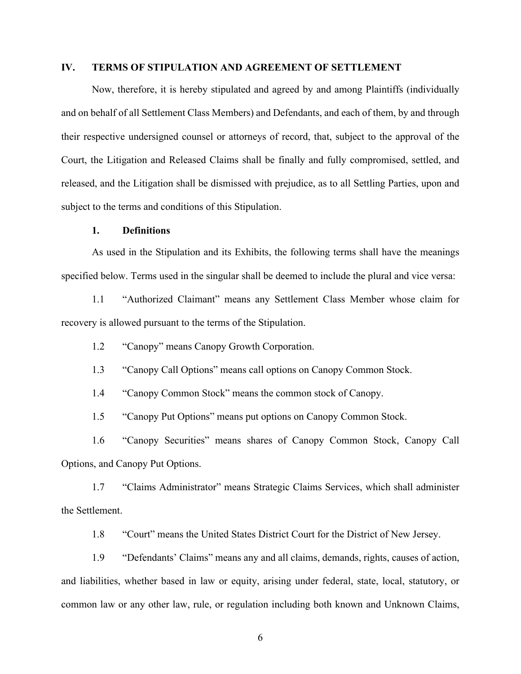## **IV. TERMS OF STIPULATION AND AGREEMENT OF SETTLEMENT**

Now, therefore, it is hereby stipulated and agreed by and among Plaintiffs (individually and on behalf of all Settlement Class Members) and Defendants, and each of them, by and through their respective undersigned counsel or attorneys of record, that, subject to the approval of the Court, the Litigation and Released Claims shall be finally and fully compromised, settled, and released, and the Litigation shall be dismissed with prejudice, as to all Settling Parties, upon and subject to the terms and conditions of this Stipulation.

### **1. Definitions**

As used in the Stipulation and its Exhibits, the following terms shall have the meanings specified below. Terms used in the singular shall be deemed to include the plural and vice versa:

1.1 "Authorized Claimant" means any Settlement Class Member whose claim for recovery is allowed pursuant to the terms of the Stipulation.

1.2 "Canopy" means Canopy Growth Corporation.

1.3 "Canopy Call Options" means call options on Canopy Common Stock.

1.4 "Canopy Common Stock" means the common stock of Canopy.

1.5 "Canopy Put Options" means put options on Canopy Common Stock.

1.6 "Canopy Securities" means shares of Canopy Common Stock, Canopy Call Options, and Canopy Put Options.

1.7 "Claims Administrator" means Strategic Claims Services, which shall administer the Settlement.

1.8 "Court" means the United States District Court for the District of New Jersey.

1.9 "Defendants' Claims" means any and all claims, demands, rights, causes of action, and liabilities, whether based in law or equity, arising under federal, state, local, statutory, or common law or any other law, rule, or regulation including both known and Unknown Claims,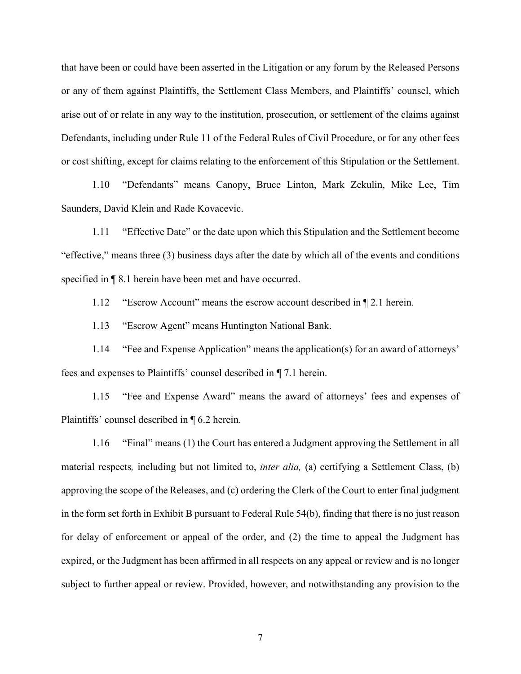that have been or could have been asserted in the Litigation or any forum by the Released Persons or any of them against Plaintiffs, the Settlement Class Members, and Plaintiffs' counsel, which arise out of or relate in any way to the institution, prosecution, or settlement of the claims against Defendants, including under Rule 11 of the Federal Rules of Civil Procedure, or for any other fees or cost shifting, except for claims relating to the enforcement of this Stipulation or the Settlement.

1.10 "Defendants" means Canopy, Bruce Linton, Mark Zekulin, Mike Lee, Tim Saunders, David Klein and Rade Kovacevic.

1.11 "Effective Date" or the date upon which this Stipulation and the Settlement become "effective," means three (3) business days after the date by which all of the events and conditions specified in ¶ 8.1 herein have been met and have occurred.

1.12 "Escrow Account" means the escrow account described in ¶ 2.1 herein.

1.13 "Escrow Agent" means Huntington National Bank.

1.14 "Fee and Expense Application" means the application(s) for an award of attorneys' fees and expenses to Plaintiffs' counsel described in ¶ 7.1 herein.

1.15 "Fee and Expense Award" means the award of attorneys' fees and expenses of Plaintiffs' counsel described in ¶ 6.2 herein.

1.16 "Final" means (1) the Court has entered a Judgment approving the Settlement in all material respects*,* including but not limited to, *inter alia,* (a) certifying a Settlement Class, (b) approving the scope of the Releases, and (c) ordering the Clerk of the Court to enter final judgment in the form set forth in Exhibit B pursuant to Federal Rule 54(b), finding that there is no just reason for delay of enforcement or appeal of the order, and (2) the time to appeal the Judgment has expired, or the Judgment has been affirmed in all respects on any appeal or review and is no longer subject to further appeal or review. Provided, however, and notwithstanding any provision to the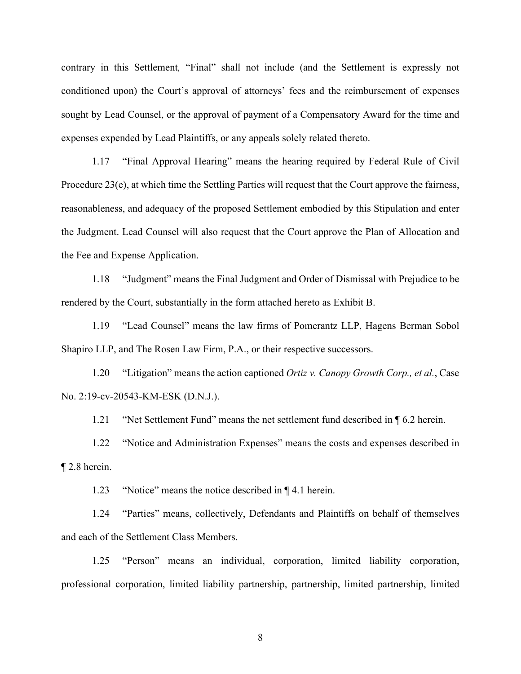contrary in this Settlement*,* "Final" shall not include (and the Settlement is expressly not conditioned upon) the Court's approval of attorneys' fees and the reimbursement of expenses sought by Lead Counsel, or the approval of payment of a Compensatory Award for the time and expenses expended by Lead Plaintiffs, or any appeals solely related thereto.

1.17 "Final Approval Hearing" means the hearing required by Federal Rule of Civil Procedure 23(e), at which time the Settling Parties will request that the Court approve the fairness, reasonableness, and adequacy of the proposed Settlement embodied by this Stipulation and enter the Judgment. Lead Counsel will also request that the Court approve the Plan of Allocation and the Fee and Expense Application.

1.18 "Judgment" means the Final Judgment and Order of Dismissal with Prejudice to be rendered by the Court, substantially in the form attached hereto as Exhibit B.

1.19 "Lead Counsel" means the law firms of Pomerantz LLP, Hagens Berman Sobol Shapiro LLP, and The Rosen Law Firm, P.A., or their respective successors.

1.20 "Litigation" means the action captioned *Ortiz v. Canopy Growth Corp., et al.*, Case No. 2:19-cv-20543-KM-ESK (D.N.J.).

1.21 "Net Settlement Fund" means the net settlement fund described in ¶ 6.2 herein.

1.22 "Notice and Administration Expenses" means the costs and expenses described in ¶ 2.8 herein.

1.23 "Notice" means the notice described in ¶ 4.1 herein.

1.24 "Parties" means, collectively, Defendants and Plaintiffs on behalf of themselves and each of the Settlement Class Members.

1.25 "Person" means an individual, corporation, limited liability corporation, professional corporation, limited liability partnership, partnership, limited partnership, limited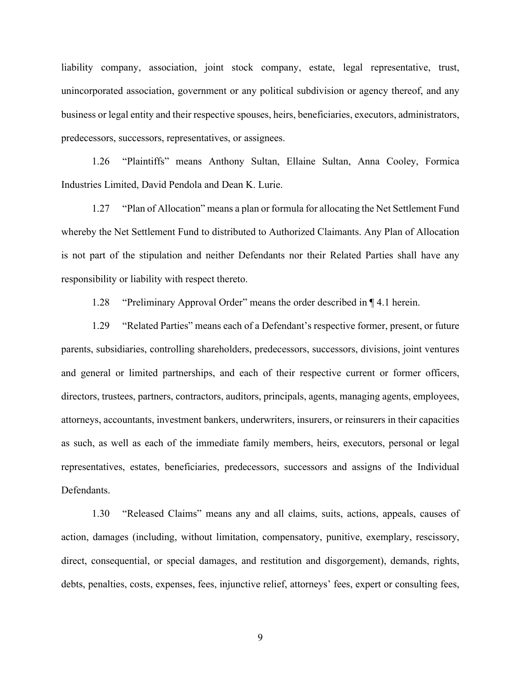liability company, association, joint stock company, estate, legal representative, trust, unincorporated association, government or any political subdivision or agency thereof, and any business or legal entity and their respective spouses, heirs, beneficiaries, executors, administrators, predecessors, successors, representatives, or assignees.

1.26 "Plaintiffs" means Anthony Sultan, Ellaine Sultan, Anna Cooley, Formica Industries Limited, David Pendola and Dean K. Lurie.

1.27 "Plan of Allocation" means a plan or formula for allocating the Net Settlement Fund whereby the Net Settlement Fund to distributed to Authorized Claimants. Any Plan of Allocation is not part of the stipulation and neither Defendants nor their Related Parties shall have any responsibility or liability with respect thereto.

1.28 "Preliminary Approval Order" means the order described in ¶ 4.1 herein.

1.29 "Related Parties" means each of a Defendant's respective former, present, or future parents, subsidiaries, controlling shareholders, predecessors, successors, divisions, joint ventures and general or limited partnerships, and each of their respective current or former officers, directors, trustees, partners, contractors, auditors, principals, agents, managing agents, employees, attorneys, accountants, investment bankers, underwriters, insurers, or reinsurers in their capacities as such, as well as each of the immediate family members, heirs, executors, personal or legal representatives, estates, beneficiaries, predecessors, successors and assigns of the Individual Defendants.

1.30 "Released Claims" means any and all claims, suits, actions, appeals, causes of action, damages (including, without limitation, compensatory, punitive, exemplary, rescissory, direct, consequential, or special damages, and restitution and disgorgement), demands, rights, debts, penalties, costs, expenses, fees, injunctive relief, attorneys' fees, expert or consulting fees,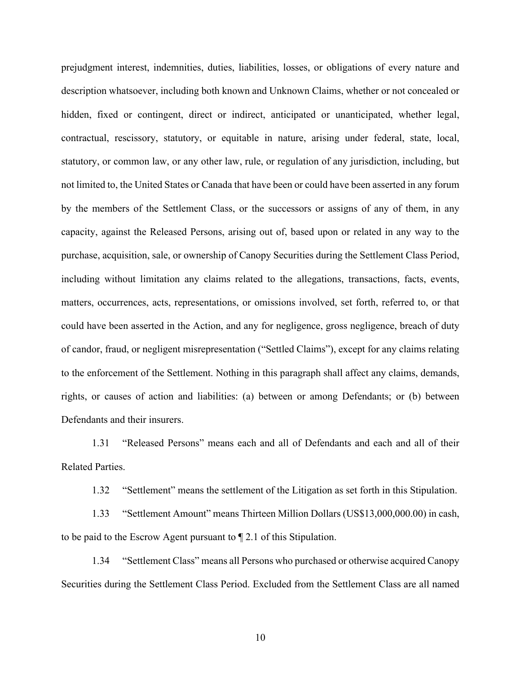prejudgment interest, indemnities, duties, liabilities, losses, or obligations of every nature and description whatsoever, including both known and Unknown Claims, whether or not concealed or hidden, fixed or contingent, direct or indirect, anticipated or unanticipated, whether legal, contractual, rescissory, statutory, or equitable in nature, arising under federal, state, local, statutory, or common law, or any other law, rule, or regulation of any jurisdiction, including, but not limited to, the United States or Canada that have been or could have been asserted in any forum by the members of the Settlement Class, or the successors or assigns of any of them, in any capacity, against the Released Persons, arising out of, based upon or related in any way to the purchase, acquisition, sale, or ownership of Canopy Securities during the Settlement Class Period, including without limitation any claims related to the allegations, transactions, facts, events, matters, occurrences, acts, representations, or omissions involved, set forth, referred to, or that could have been asserted in the Action, and any for negligence, gross negligence, breach of duty of candor, fraud, or negligent misrepresentation ("Settled Claims"), except for any claims relating to the enforcement of the Settlement. Nothing in this paragraph shall affect any claims, demands, rights, or causes of action and liabilities: (a) between or among Defendants; or (b) between Defendants and their insurers.

1.31 "Released Persons" means each and all of Defendants and each and all of their Related Parties.

1.32 "Settlement" means the settlement of the Litigation as set forth in this Stipulation.

1.33 "Settlement Amount" means Thirteen Million Dollars (US\$13,000,000.00) in cash, to be paid to the Escrow Agent pursuant to ¶ 2.1 of this Stipulation.

1.34 "Settlement Class" means all Persons who purchased or otherwise acquired Canopy Securities during the Settlement Class Period. Excluded from the Settlement Class are all named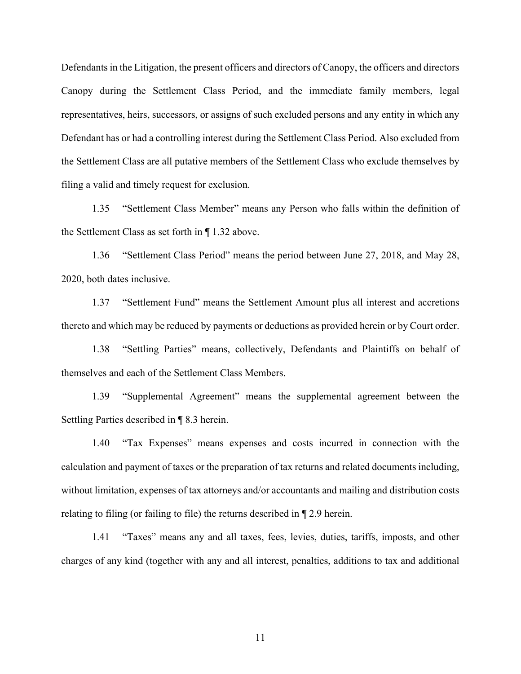Defendants in the Litigation, the present officers and directors of Canopy, the officers and directors Canopy during the Settlement Class Period, and the immediate family members, legal representatives, heirs, successors, or assigns of such excluded persons and any entity in which any Defendant has or had a controlling interest during the Settlement Class Period. Also excluded from the Settlement Class are all putative members of the Settlement Class who exclude themselves by filing a valid and timely request for exclusion.

1.35 "Settlement Class Member" means any Person who falls within the definition of the Settlement Class as set forth in ¶ 1.32 above.

1.36 "Settlement Class Period" means the period between June 27, 2018, and May 28, 2020, both dates inclusive.

1.37 "Settlement Fund" means the Settlement Amount plus all interest and accretions thereto and which may be reduced by payments or deductions as provided herein or by Court order.

1.38 "Settling Parties" means, collectively, Defendants and Plaintiffs on behalf of themselves and each of the Settlement Class Members.

1.39 "Supplemental Agreement" means the supplemental agreement between the Settling Parties described in ¶ 8.3 herein.

1.40 "Tax Expenses" means expenses and costs incurred in connection with the calculation and payment of taxes or the preparation of tax returns and related documents including, without limitation, expenses of tax attorneys and/or accountants and mailing and distribution costs relating to filing (or failing to file) the returns described in ¶ 2.9 herein.

1.41 "Taxes" means any and all taxes, fees, levies, duties, tariffs, imposts, and other charges of any kind (together with any and all interest, penalties, additions to tax and additional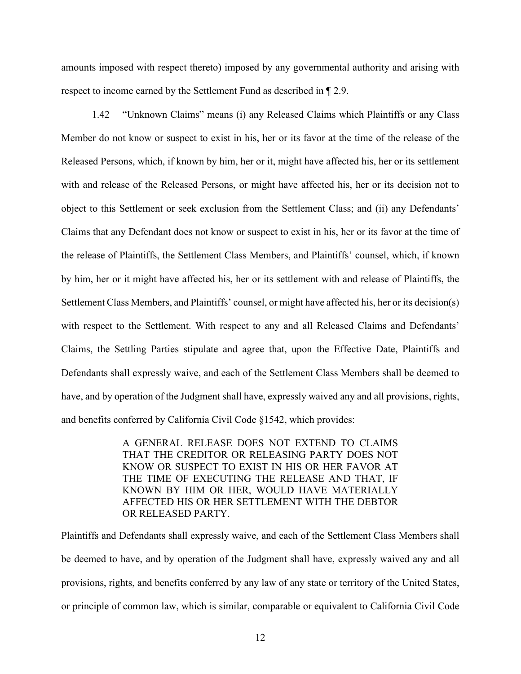amounts imposed with respect thereto) imposed by any governmental authority and arising with respect to income earned by the Settlement Fund as described in ¶ 2.9.

1.42 "Unknown Claims" means (i) any Released Claims which Plaintiffs or any Class Member do not know or suspect to exist in his, her or its favor at the time of the release of the Released Persons, which, if known by him, her or it, might have affected his, her or its settlement with and release of the Released Persons, or might have affected his, her or its decision not to object to this Settlement or seek exclusion from the Settlement Class; and (ii) any Defendants' Claims that any Defendant does not know or suspect to exist in his, her or its favor at the time of the release of Plaintiffs, the Settlement Class Members, and Plaintiffs' counsel, which, if known by him, her or it might have affected his, her or its settlement with and release of Plaintiffs, the Settlement Class Members, and Plaintiffs' counsel, or might have affected his, her or its decision(s) with respect to the Settlement. With respect to any and all Released Claims and Defendants' Claims, the Settling Parties stipulate and agree that, upon the Effective Date, Plaintiffs and Defendants shall expressly waive, and each of the Settlement Class Members shall be deemed to have, and by operation of the Judgment shall have, expressly waived any and all provisions, rights, and benefits conferred by California Civil Code §1542, which provides:

> A GENERAL RELEASE DOES NOT EXTEND TO CLAIMS THAT THE CREDITOR OR RELEASING PARTY DOES NOT KNOW OR SUSPECT TO EXIST IN HIS OR HER FAVOR AT THE TIME OF EXECUTING THE RELEASE AND THAT, IF KNOWN BY HIM OR HER, WOULD HAVE MATERIALLY AFFECTED HIS OR HER SETTLEMENT WITH THE DEBTOR OR RELEASED PARTY.

Plaintiffs and Defendants shall expressly waive, and each of the Settlement Class Members shall be deemed to have, and by operation of the Judgment shall have, expressly waived any and all provisions, rights, and benefits conferred by any law of any state or territory of the United States, or principle of common law, which is similar, comparable or equivalent to California Civil Code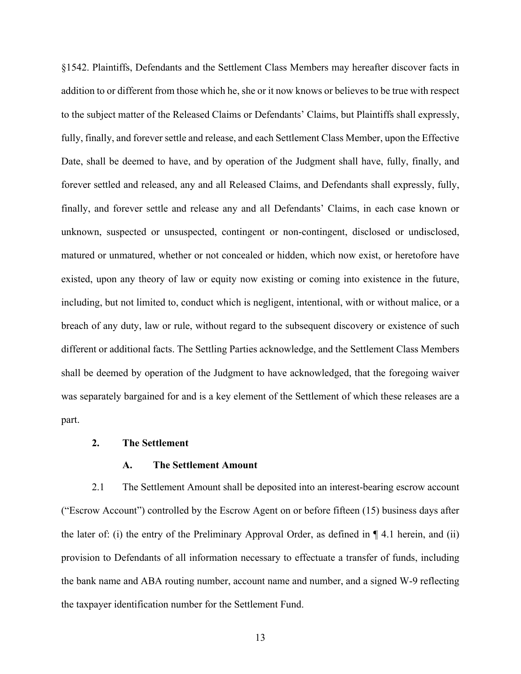§1542. Plaintiffs, Defendants and the Settlement Class Members may hereafter discover facts in addition to or different from those which he, she or it now knows or believes to be true with respect to the subject matter of the Released Claims or Defendants' Claims, but Plaintiffs shall expressly, fully, finally, and forever settle and release, and each Settlement Class Member, upon the Effective Date, shall be deemed to have, and by operation of the Judgment shall have, fully, finally, and forever settled and released, any and all Released Claims, and Defendants shall expressly, fully, finally, and forever settle and release any and all Defendants' Claims, in each case known or unknown, suspected or unsuspected, contingent or non-contingent, disclosed or undisclosed, matured or unmatured, whether or not concealed or hidden, which now exist, or heretofore have existed, upon any theory of law or equity now existing or coming into existence in the future, including, but not limited to, conduct which is negligent, intentional, with or without malice, or a breach of any duty, law or rule, without regard to the subsequent discovery or existence of such different or additional facts. The Settling Parties acknowledge, and the Settlement Class Members shall be deemed by operation of the Judgment to have acknowledged, that the foregoing waiver was separately bargained for and is a key element of the Settlement of which these releases are a part.

#### **2. The Settlement**

## **A. The Settlement Amount**

2.1 The Settlement Amount shall be deposited into an interest-bearing escrow account ("Escrow Account") controlled by the Escrow Agent on or before fifteen (15) business days after the later of: (i) the entry of the Preliminary Approval Order, as defined in  $\P$  4.1 herein, and (ii) provision to Defendants of all information necessary to effectuate a transfer of funds, including the bank name and ABA routing number, account name and number, and a signed W-9 reflecting the taxpayer identification number for the Settlement Fund.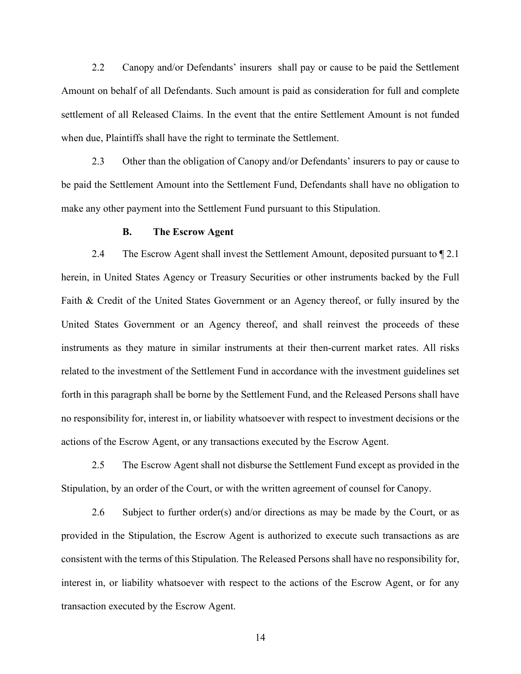2.2 Canopy and/or Defendants' insurers shall pay or cause to be paid the Settlement Amount on behalf of all Defendants. Such amount is paid as consideration for full and complete settlement of all Released Claims. In the event that the entire Settlement Amount is not funded when due, Plaintiffs shall have the right to terminate the Settlement.

2.3 Other than the obligation of Canopy and/or Defendants' insurers to pay or cause to be paid the Settlement Amount into the Settlement Fund, Defendants shall have no obligation to make any other payment into the Settlement Fund pursuant to this Stipulation.

#### **B. The Escrow Agent**

2.4 The Escrow Agent shall invest the Settlement Amount, deposited pursuant to  $\S$  2.1 herein, in United States Agency or Treasury Securities or other instruments backed by the Full Faith & Credit of the United States Government or an Agency thereof, or fully insured by the United States Government or an Agency thereof, and shall reinvest the proceeds of these instruments as they mature in similar instruments at their then-current market rates. All risks related to the investment of the Settlement Fund in accordance with the investment guidelines set forth in this paragraph shall be borne by the Settlement Fund, and the Released Persons shall have no responsibility for, interest in, or liability whatsoever with respect to investment decisions or the actions of the Escrow Agent, or any transactions executed by the Escrow Agent.

2.5 The Escrow Agent shall not disburse the Settlement Fund except as provided in the Stipulation, by an order of the Court, or with the written agreement of counsel for Canopy.

2.6 Subject to further order(s) and/or directions as may be made by the Court, or as provided in the Stipulation, the Escrow Agent is authorized to execute such transactions as are consistent with the terms of this Stipulation. The Released Persons shall have no responsibility for, interest in, or liability whatsoever with respect to the actions of the Escrow Agent, or for any transaction executed by the Escrow Agent.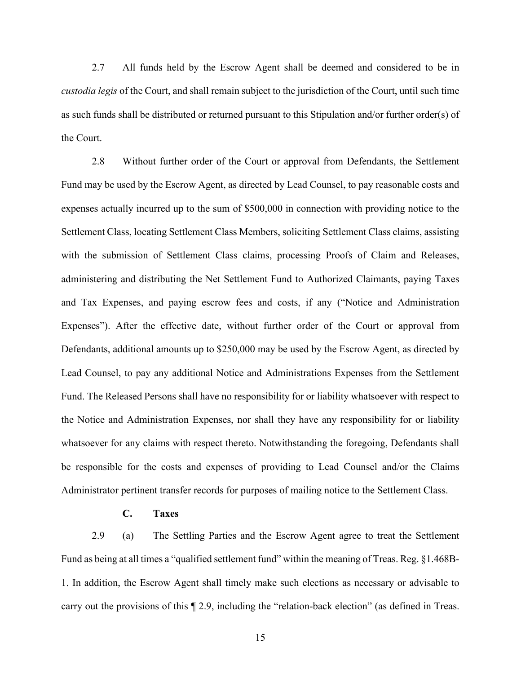2.7 All funds held by the Escrow Agent shall be deemed and considered to be in *custodia legis* of the Court, and shall remain subject to the jurisdiction of the Court, until such time as such funds shall be distributed or returned pursuant to this Stipulation and/or further order(s) of the Court.

2.8 Without further order of the Court or approval from Defendants, the Settlement Fund may be used by the Escrow Agent, as directed by Lead Counsel, to pay reasonable costs and expenses actually incurred up to the sum of \$500,000 in connection with providing notice to the Settlement Class, locating Settlement Class Members, soliciting Settlement Class claims, assisting with the submission of Settlement Class claims, processing Proofs of Claim and Releases, administering and distributing the Net Settlement Fund to Authorized Claimants, paying Taxes and Tax Expenses, and paying escrow fees and costs, if any ("Notice and Administration Expenses"). After the effective date, without further order of the Court or approval from Defendants, additional amounts up to \$250,000 may be used by the Escrow Agent, as directed by Lead Counsel, to pay any additional Notice and Administrations Expenses from the Settlement Fund. The Released Persons shall have no responsibility for or liability whatsoever with respect to the Notice and Administration Expenses, nor shall they have any responsibility for or liability whatsoever for any claims with respect thereto. Notwithstanding the foregoing, Defendants shall be responsible for the costs and expenses of providing to Lead Counsel and/or the Claims Administrator pertinent transfer records for purposes of mailing notice to the Settlement Class.

### **C. Taxes**

2.9 (a) The Settling Parties and the Escrow Agent agree to treat the Settlement Fund as being at all times a "qualified settlement fund" within the meaning of Treas. Reg. §1.468B-1. In addition, the Escrow Agent shall timely make such elections as necessary or advisable to carry out the provisions of this ¶ 2.9, including the "relation-back election" (as defined in Treas.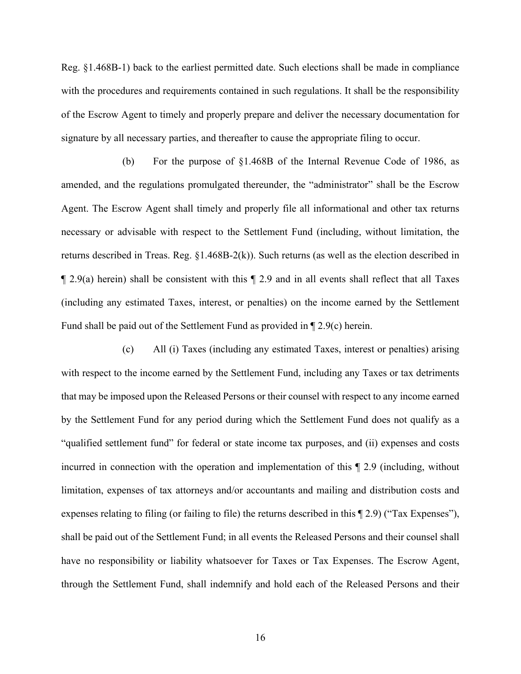Reg. §1.468B-1) back to the earliest permitted date. Such elections shall be made in compliance with the procedures and requirements contained in such regulations. It shall be the responsibility of the Escrow Agent to timely and properly prepare and deliver the necessary documentation for signature by all necessary parties, and thereafter to cause the appropriate filing to occur.

(b) For the purpose of §1.468B of the Internal Revenue Code of 1986, as amended, and the regulations promulgated thereunder, the "administrator" shall be the Escrow Agent. The Escrow Agent shall timely and properly file all informational and other tax returns necessary or advisable with respect to the Settlement Fund (including, without limitation, the returns described in Treas. Reg. §1.468B-2(k)). Such returns (as well as the election described in  $\llbracket 2.9(a)$  herein) shall be consistent with this  $\llbracket 2.9$  and in all events shall reflect that all Taxes (including any estimated Taxes, interest, or penalties) on the income earned by the Settlement Fund shall be paid out of the Settlement Fund as provided in ¶ 2.9(c) herein.

(c) All (i) Taxes (including any estimated Taxes, interest or penalties) arising with respect to the income earned by the Settlement Fund, including any Taxes or tax detriments that may be imposed upon the Released Persons or their counsel with respect to any income earned by the Settlement Fund for any period during which the Settlement Fund does not qualify as a "qualified settlement fund" for federal or state income tax purposes, and (ii) expenses and costs incurred in connection with the operation and implementation of this ¶ 2.9 (including, without limitation, expenses of tax attorneys and/or accountants and mailing and distribution costs and expenses relating to filing (or failing to file) the returns described in this ¶ 2.9) ("Tax Expenses"), shall be paid out of the Settlement Fund; in all events the Released Persons and their counsel shall have no responsibility or liability whatsoever for Taxes or Tax Expenses. The Escrow Agent, through the Settlement Fund, shall indemnify and hold each of the Released Persons and their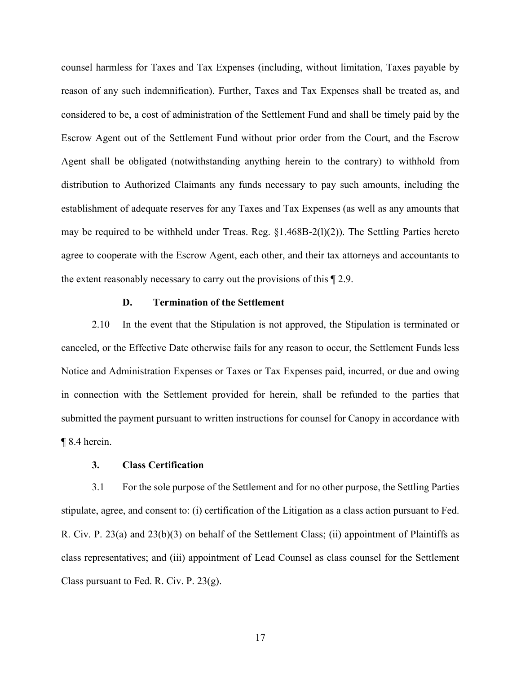counsel harmless for Taxes and Tax Expenses (including, without limitation, Taxes payable by reason of any such indemnification). Further, Taxes and Tax Expenses shall be treated as, and considered to be, a cost of administration of the Settlement Fund and shall be timely paid by the Escrow Agent out of the Settlement Fund without prior order from the Court, and the Escrow Agent shall be obligated (notwithstanding anything herein to the contrary) to withhold from distribution to Authorized Claimants any funds necessary to pay such amounts, including the establishment of adequate reserves for any Taxes and Tax Expenses (as well as any amounts that may be required to be withheld under Treas. Reg.  $\S1.468B-2(1)(2)$ ). The Settling Parties hereto agree to cooperate with the Escrow Agent, each other, and their tax attorneys and accountants to the extent reasonably necessary to carry out the provisions of this ¶ 2.9.

#### **D. Termination of the Settlement**

2.10 In the event that the Stipulation is not approved, the Stipulation is terminated or canceled, or the Effective Date otherwise fails for any reason to occur, the Settlement Funds less Notice and Administration Expenses or Taxes or Tax Expenses paid, incurred, or due and owing in connection with the Settlement provided for herein, shall be refunded to the parties that submitted the payment pursuant to written instructions for counsel for Canopy in accordance with ¶ 8.4 herein.

## **3. Class Certification**

3.1 For the sole purpose of the Settlement and for no other purpose, the Settling Parties stipulate, agree, and consent to: (i) certification of the Litigation as a class action pursuant to Fed. R. Civ. P. 23(a) and 23(b)(3) on behalf of the Settlement Class; (ii) appointment of Plaintiffs as class representatives; and (iii) appointment of Lead Counsel as class counsel for the Settlement Class pursuant to Fed. R. Civ. P.  $23(g)$ .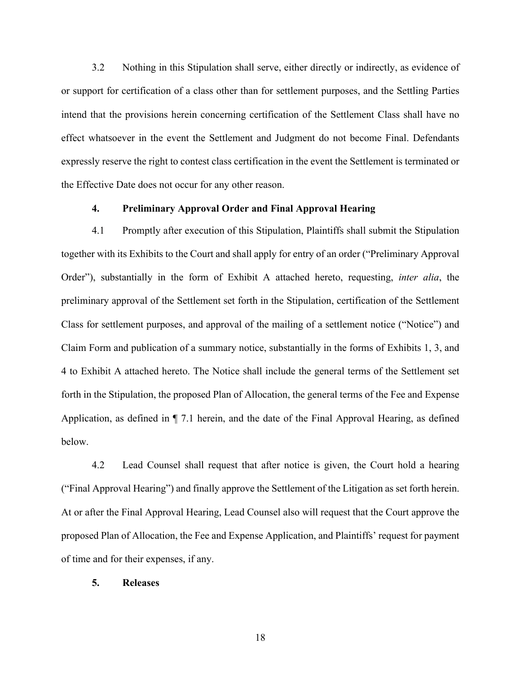3.2 Nothing in this Stipulation shall serve, either directly or indirectly, as evidence of or support for certification of a class other than for settlement purposes, and the Settling Parties intend that the provisions herein concerning certification of the Settlement Class shall have no effect whatsoever in the event the Settlement and Judgment do not become Final. Defendants expressly reserve the right to contest class certification in the event the Settlement is terminated or the Effective Date does not occur for any other reason.

## **4. Preliminary Approval Order and Final Approval Hearing**

4.1 Promptly after execution of this Stipulation, Plaintiffs shall submit the Stipulation together with its Exhibits to the Court and shall apply for entry of an order ("Preliminary Approval Order"), substantially in the form of Exhibit A attached hereto, requesting, *inter alia*, the preliminary approval of the Settlement set forth in the Stipulation, certification of the Settlement Class for settlement purposes, and approval of the mailing of a settlement notice ("Notice") and Claim Form and publication of a summary notice, substantially in the forms of Exhibits 1, 3, and 4 to Exhibit A attached hereto. The Notice shall include the general terms of the Settlement set forth in the Stipulation, the proposed Plan of Allocation, the general terms of the Fee and Expense Application, as defined in ¶ 7.1 herein, and the date of the Final Approval Hearing, as defined below.

4.2 Lead Counsel shall request that after notice is given, the Court hold a hearing ("Final Approval Hearing") and finally approve the Settlement of the Litigation as set forth herein. At or after the Final Approval Hearing, Lead Counsel also will request that the Court approve the proposed Plan of Allocation, the Fee and Expense Application, and Plaintiffs' request for payment of time and for their expenses, if any.

#### **5. Releases**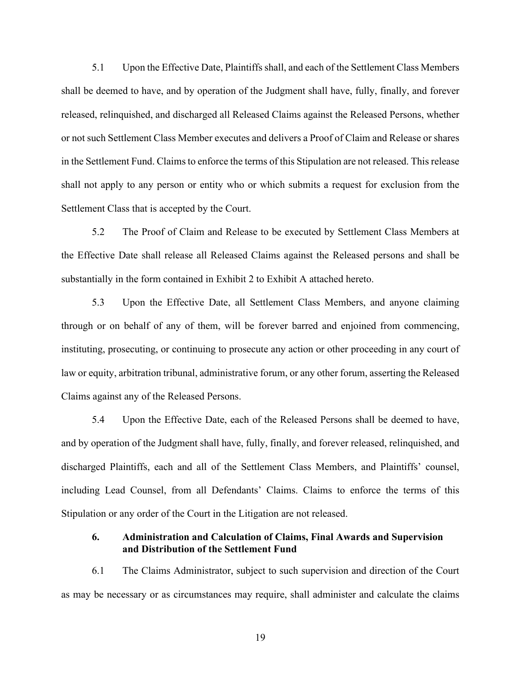5.1 Upon the Effective Date, Plaintiffs shall, and each of the Settlement Class Members shall be deemed to have, and by operation of the Judgment shall have, fully, finally, and forever released, relinquished, and discharged all Released Claims against the Released Persons, whether or not such Settlement Class Member executes and delivers a Proof of Claim and Release or shares in the Settlement Fund. Claims to enforce the terms of this Stipulation are not released. This release shall not apply to any person or entity who or which submits a request for exclusion from the Settlement Class that is accepted by the Court.

5.2 The Proof of Claim and Release to be executed by Settlement Class Members at the Effective Date shall release all Released Claims against the Released persons and shall be substantially in the form contained in Exhibit 2 to Exhibit A attached hereto.

5.3 Upon the Effective Date, all Settlement Class Members, and anyone claiming through or on behalf of any of them, will be forever barred and enjoined from commencing, instituting, prosecuting, or continuing to prosecute any action or other proceeding in any court of law or equity, arbitration tribunal, administrative forum, or any other forum, asserting the Released Claims against any of the Released Persons.

5.4 Upon the Effective Date, each of the Released Persons shall be deemed to have, and by operation of the Judgment shall have, fully, finally, and forever released, relinquished, and discharged Plaintiffs, each and all of the Settlement Class Members, and Plaintiffs' counsel, including Lead Counsel, from all Defendants' Claims. Claims to enforce the terms of this Stipulation or any order of the Court in the Litigation are not released.

## **6. Administration and Calculation of Claims, Final Awards and Supervision and Distribution of the Settlement Fund**

6.1 The Claims Administrator, subject to such supervision and direction of the Court as may be necessary or as circumstances may require, shall administer and calculate the claims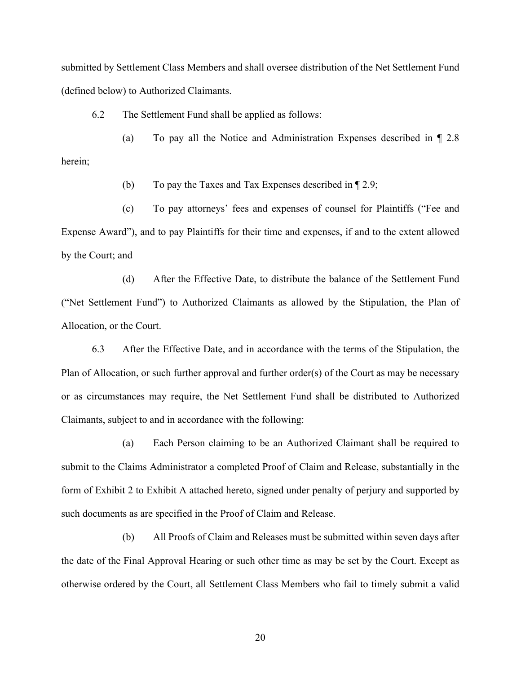submitted by Settlement Class Members and shall oversee distribution of the Net Settlement Fund (defined below) to Authorized Claimants.

6.2 The Settlement Fund shall be applied as follows:

(a) To pay all the Notice and Administration Expenses described in ¶ 2.8 herein;

(b) To pay the Taxes and Tax Expenses described in ¶ 2.9;

(c) To pay attorneys' fees and expenses of counsel for Plaintiffs ("Fee and Expense Award"), and to pay Plaintiffs for their time and expenses, if and to the extent allowed by the Court; and

(d) After the Effective Date, to distribute the balance of the Settlement Fund ("Net Settlement Fund") to Authorized Claimants as allowed by the Stipulation, the Plan of Allocation, or the Court.

6.3 After the Effective Date, and in accordance with the terms of the Stipulation, the Plan of Allocation, or such further approval and further order(s) of the Court as may be necessary or as circumstances may require, the Net Settlement Fund shall be distributed to Authorized Claimants, subject to and in accordance with the following:

(a) Each Person claiming to be an Authorized Claimant shall be required to submit to the Claims Administrator a completed Proof of Claim and Release, substantially in the form of Exhibit 2 to Exhibit A attached hereto, signed under penalty of perjury and supported by such documents as are specified in the Proof of Claim and Release.

(b) All Proofs of Claim and Releases must be submitted within seven days after the date of the Final Approval Hearing or such other time as may be set by the Court. Except as otherwise ordered by the Court, all Settlement Class Members who fail to timely submit a valid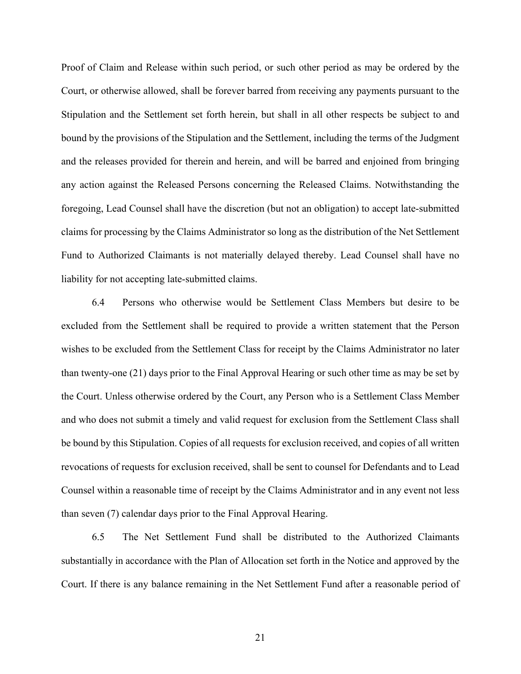Proof of Claim and Release within such period, or such other period as may be ordered by the Court, or otherwise allowed, shall be forever barred from receiving any payments pursuant to the Stipulation and the Settlement set forth herein, but shall in all other respects be subject to and bound by the provisions of the Stipulation and the Settlement, including the terms of the Judgment and the releases provided for therein and herein, and will be barred and enjoined from bringing any action against the Released Persons concerning the Released Claims. Notwithstanding the foregoing, Lead Counsel shall have the discretion (but not an obligation) to accept late-submitted claims for processing by the Claims Administrator so long as the distribution of the Net Settlement Fund to Authorized Claimants is not materially delayed thereby. Lead Counsel shall have no liability for not accepting late-submitted claims.

6.4 Persons who otherwise would be Settlement Class Members but desire to be excluded from the Settlement shall be required to provide a written statement that the Person wishes to be excluded from the Settlement Class for receipt by the Claims Administrator no later than twenty-one (21) days prior to the Final Approval Hearing or such other time as may be set by the Court. Unless otherwise ordered by the Court, any Person who is a Settlement Class Member and who does not submit a timely and valid request for exclusion from the Settlement Class shall be bound by this Stipulation. Copies of all requests for exclusion received, and copies of all written revocations of requests for exclusion received, shall be sent to counsel for Defendants and to Lead Counsel within a reasonable time of receipt by the Claims Administrator and in any event not less than seven (7) calendar days prior to the Final Approval Hearing.

6.5 The Net Settlement Fund shall be distributed to the Authorized Claimants substantially in accordance with the Plan of Allocation set forth in the Notice and approved by the Court. If there is any balance remaining in the Net Settlement Fund after a reasonable period of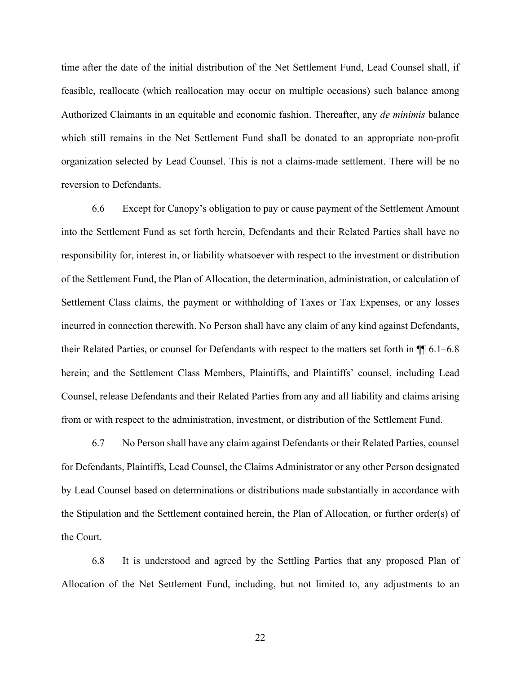time after the date of the initial distribution of the Net Settlement Fund, Lead Counsel shall, if feasible, reallocate (which reallocation may occur on multiple occasions) such balance among Authorized Claimants in an equitable and economic fashion. Thereafter, any *de minimis* balance which still remains in the Net Settlement Fund shall be donated to an appropriate non-profit organization selected by Lead Counsel. This is not a claims-made settlement. There will be no reversion to Defendants.

6.6 Except for Canopy's obligation to pay or cause payment of the Settlement Amount into the Settlement Fund as set forth herein, Defendants and their Related Parties shall have no responsibility for, interest in, or liability whatsoever with respect to the investment or distribution of the Settlement Fund, the Plan of Allocation, the determination, administration, or calculation of Settlement Class claims, the payment or withholding of Taxes or Tax Expenses, or any losses incurred in connection therewith. No Person shall have any claim of any kind against Defendants, their Related Parties, or counsel for Defendants with respect to the matters set forth in ¶¶ 6.1–6.8 herein; and the Settlement Class Members, Plaintiffs, and Plaintiffs' counsel, including Lead Counsel, release Defendants and their Related Parties from any and all liability and claims arising from or with respect to the administration, investment, or distribution of the Settlement Fund.

6.7 No Person shall have any claim against Defendants or their Related Parties, counsel for Defendants, Plaintiffs, Lead Counsel, the Claims Administrator or any other Person designated by Lead Counsel based on determinations or distributions made substantially in accordance with the Stipulation and the Settlement contained herein, the Plan of Allocation, or further order(s) of the Court.

6.8 It is understood and agreed by the Settling Parties that any proposed Plan of Allocation of the Net Settlement Fund, including, but not limited to, any adjustments to an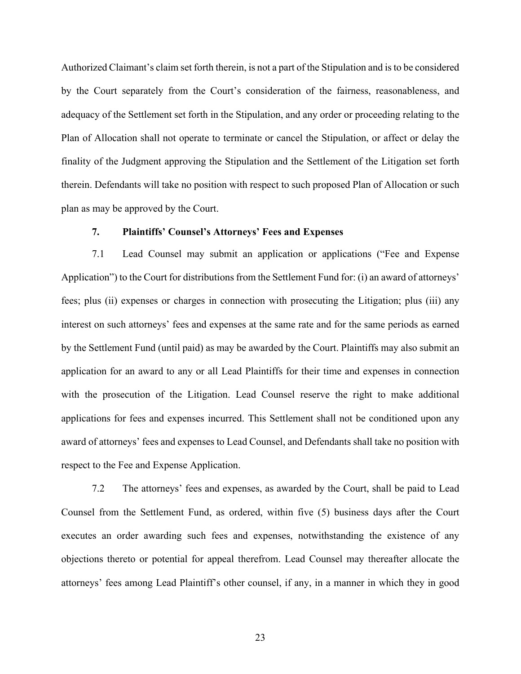Authorized Claimant's claim set forth therein, is not a part of the Stipulation and is to be considered by the Court separately from the Court's consideration of the fairness, reasonableness, and adequacy of the Settlement set forth in the Stipulation, and any order or proceeding relating to the Plan of Allocation shall not operate to terminate or cancel the Stipulation, or affect or delay the finality of the Judgment approving the Stipulation and the Settlement of the Litigation set forth therein. Defendants will take no position with respect to such proposed Plan of Allocation or such plan as may be approved by the Court.

#### **7. Plaintiffs' Counsel's Attorneys' Fees and Expenses**

7.1 Lead Counsel may submit an application or applications ("Fee and Expense Application") to the Court for distributions from the Settlement Fund for: (i) an award of attorneys' fees; plus (ii) expenses or charges in connection with prosecuting the Litigation; plus (iii) any interest on such attorneys' fees and expenses at the same rate and for the same periods as earned by the Settlement Fund (until paid) as may be awarded by the Court. Plaintiffs may also submit an application for an award to any or all Lead Plaintiffs for their time and expenses in connection with the prosecution of the Litigation. Lead Counsel reserve the right to make additional applications for fees and expenses incurred. This Settlement shall not be conditioned upon any award of attorneys' fees and expenses to Lead Counsel, and Defendants shall take no position with respect to the Fee and Expense Application.

7.2 The attorneys' fees and expenses, as awarded by the Court, shall be paid to Lead Counsel from the Settlement Fund, as ordered, within five (5) business days after the Court executes an order awarding such fees and expenses, notwithstanding the existence of any objections thereto or potential for appeal therefrom. Lead Counsel may thereafter allocate the attorneys' fees among Lead Plaintiff's other counsel, if any, in a manner in which they in good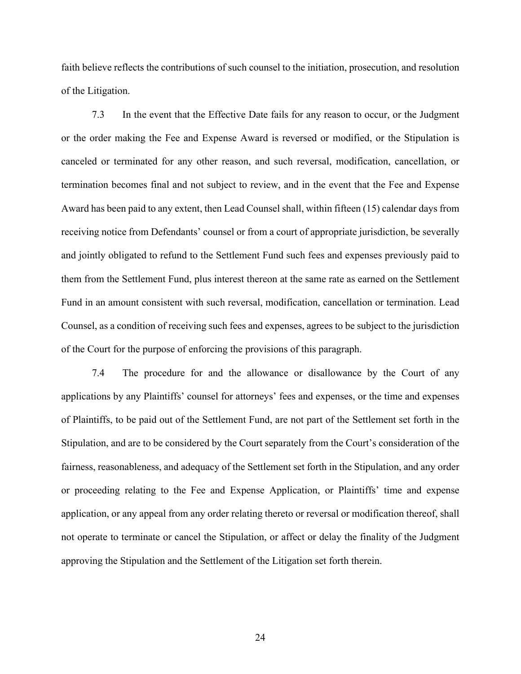faith believe reflects the contributions of such counsel to the initiation, prosecution, and resolution of the Litigation.

7.3 In the event that the Effective Date fails for any reason to occur, or the Judgment or the order making the Fee and Expense Award is reversed or modified, or the Stipulation is canceled or terminated for any other reason, and such reversal, modification, cancellation, or termination becomes final and not subject to review, and in the event that the Fee and Expense Award has been paid to any extent, then Lead Counsel shall, within fifteen (15) calendar days from receiving notice from Defendants' counsel or from a court of appropriate jurisdiction, be severally and jointly obligated to refund to the Settlement Fund such fees and expenses previously paid to them from the Settlement Fund, plus interest thereon at the same rate as earned on the Settlement Fund in an amount consistent with such reversal, modification, cancellation or termination. Lead Counsel, as a condition of receiving such fees and expenses, agrees to be subject to the jurisdiction of the Court for the purpose of enforcing the provisions of this paragraph.

7.4 The procedure for and the allowance or disallowance by the Court of any applications by any Plaintiffs' counsel for attorneys' fees and expenses, or the time and expenses of Plaintiffs, to be paid out of the Settlement Fund, are not part of the Settlement set forth in the Stipulation, and are to be considered by the Court separately from the Court's consideration of the fairness, reasonableness, and adequacy of the Settlement set forth in the Stipulation, and any order or proceeding relating to the Fee and Expense Application, or Plaintiffs' time and expense application, or any appeal from any order relating thereto or reversal or modification thereof, shall not operate to terminate or cancel the Stipulation, or affect or delay the finality of the Judgment approving the Stipulation and the Settlement of the Litigation set forth therein.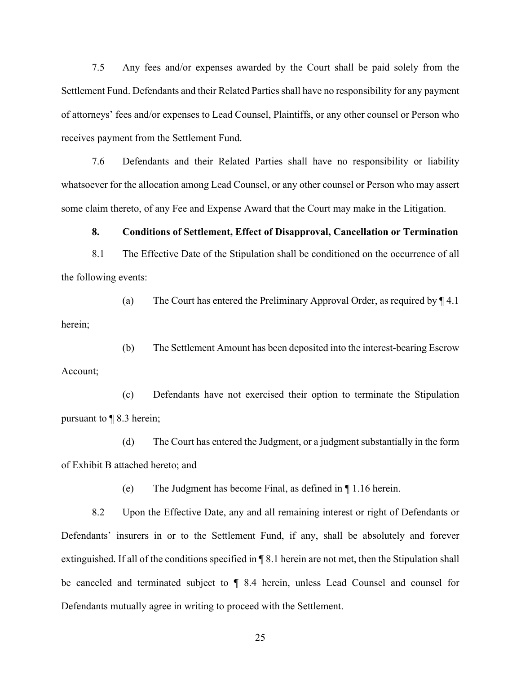7.5 Any fees and/or expenses awarded by the Court shall be paid solely from the Settlement Fund. Defendants and their Related Parties shall have no responsibility for any payment of attorneys' fees and/or expenses to Lead Counsel, Plaintiffs, or any other counsel or Person who receives payment from the Settlement Fund.

7.6 Defendants and their Related Parties shall have no responsibility or liability whatsoever for the allocation among Lead Counsel, or any other counsel or Person who may assert some claim thereto, of any Fee and Expense Award that the Court may make in the Litigation.

**8. Conditions of Settlement, Effect of Disapproval, Cancellation or Termination**

8.1 The Effective Date of the Stipulation shall be conditioned on the occurrence of all the following events:

(a) The Court has entered the Preliminary Approval Order, as required by ¶ 4.1 herein;

(b) The Settlement Amount has been deposited into the interest-bearing Escrow Account;

(c) Defendants have not exercised their option to terminate the Stipulation pursuant to ¶ 8.3 herein;

(d) The Court has entered the Judgment, or a judgment substantially in the form of Exhibit B attached hereto; and

(e) The Judgment has become Final, as defined in ¶ 1.16 herein.

8.2 Upon the Effective Date, any and all remaining interest or right of Defendants or Defendants' insurers in or to the Settlement Fund, if any, shall be absolutely and forever extinguished. If all of the conditions specified in ¶ 8.1 herein are not met, then the Stipulation shall be canceled and terminated subject to ¶ 8.4 herein, unless Lead Counsel and counsel for Defendants mutually agree in writing to proceed with the Settlement.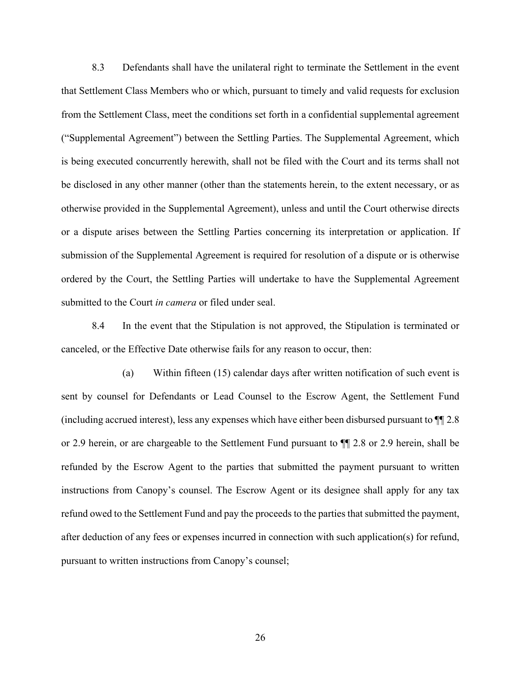8.3 Defendants shall have the unilateral right to terminate the Settlement in the event that Settlement Class Members who or which, pursuant to timely and valid requests for exclusion from the Settlement Class, meet the conditions set forth in a confidential supplemental agreement ("Supplemental Agreement") between the Settling Parties. The Supplemental Agreement, which is being executed concurrently herewith, shall not be filed with the Court and its terms shall not be disclosed in any other manner (other than the statements herein, to the extent necessary, or as otherwise provided in the Supplemental Agreement), unless and until the Court otherwise directs or a dispute arises between the Settling Parties concerning its interpretation or application. If submission of the Supplemental Agreement is required for resolution of a dispute or is otherwise ordered by the Court, the Settling Parties will undertake to have the Supplemental Agreement submitted to the Court *in camera* or filed under seal.

8.4 In the event that the Stipulation is not approved, the Stipulation is terminated or canceled, or the Effective Date otherwise fails for any reason to occur, then:

(a) Within fifteen (15) calendar days after written notification of such event is sent by counsel for Defendants or Lead Counsel to the Escrow Agent, the Settlement Fund (including accrued interest), less any expenses which have either been disbursed pursuant to ¶¶ 2.8 or 2.9 herein, or are chargeable to the Settlement Fund pursuant to ¶¶ 2.8 or 2.9 herein, shall be refunded by the Escrow Agent to the parties that submitted the payment pursuant to written instructions from Canopy's counsel. The Escrow Agent or its designee shall apply for any tax refund owed to the Settlement Fund and pay the proceeds to the parties that submitted the payment, after deduction of any fees or expenses incurred in connection with such application(s) for refund, pursuant to written instructions from Canopy's counsel;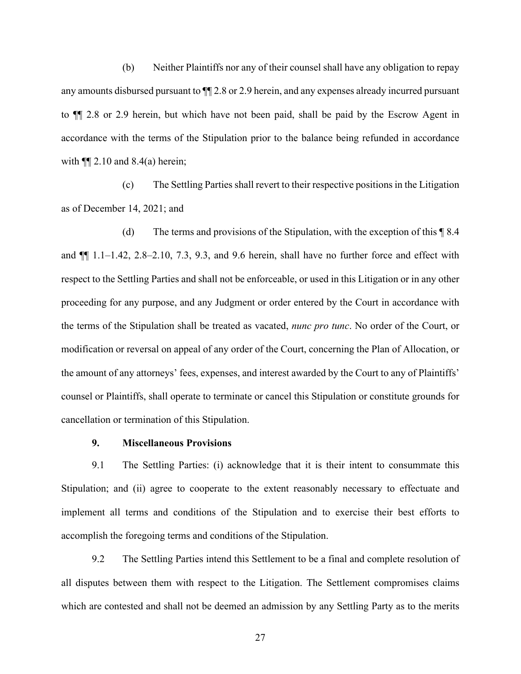(b) Neither Plaintiffs nor any of their counsel shall have any obligation to repay any amounts disbursed pursuant to ¶¶ 2.8 or 2.9 herein, and any expenses already incurred pursuant to ¶¶ 2.8 or 2.9 herein, but which have not been paid, shall be paid by the Escrow Agent in accordance with the terms of the Stipulation prior to the balance being refunded in accordance with  $\P$ [ 2.10 and 8.4(a) herein;

(c) The Settling Parties shall revert to their respective positions in the Litigation as of December 14, 2021; and

(d) The terms and provisions of the Stipulation, with the exception of this ¶ 8.4 and ¶¶ 1.1–1.42, 2.8–2.10, 7.3, 9.3, and 9.6 herein, shall have no further force and effect with respect to the Settling Parties and shall not be enforceable, or used in this Litigation or in any other proceeding for any purpose, and any Judgment or order entered by the Court in accordance with the terms of the Stipulation shall be treated as vacated, *nunc pro tunc*. No order of the Court, or modification or reversal on appeal of any order of the Court, concerning the Plan of Allocation, or the amount of any attorneys' fees, expenses, and interest awarded by the Court to any of Plaintiffs' counsel or Plaintiffs, shall operate to terminate or cancel this Stipulation or constitute grounds for cancellation or termination of this Stipulation.

#### **9. Miscellaneous Provisions**

9.1 The Settling Parties: (i) acknowledge that it is their intent to consummate this Stipulation; and (ii) agree to cooperate to the extent reasonably necessary to effectuate and implement all terms and conditions of the Stipulation and to exercise their best efforts to accomplish the foregoing terms and conditions of the Stipulation.

9.2 The Settling Parties intend this Settlement to be a final and complete resolution of all disputes between them with respect to the Litigation. The Settlement compromises claims which are contested and shall not be deemed an admission by any Settling Party as to the merits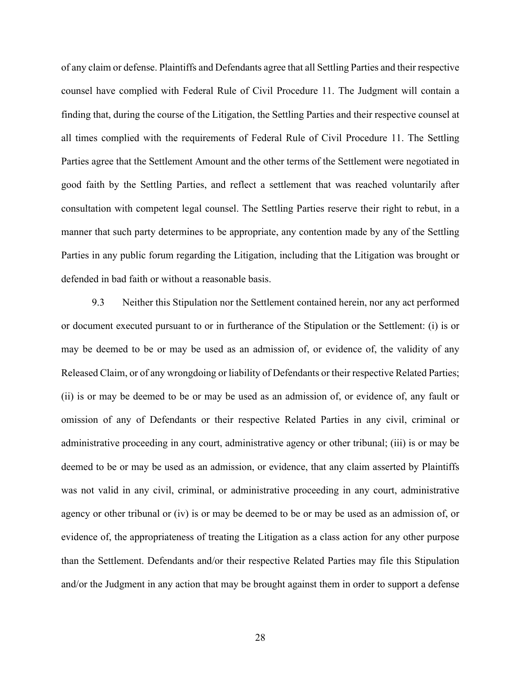of any claim or defense. Plaintiffs and Defendants agree that all Settling Parties and their respective counsel have complied with Federal Rule of Civil Procedure 11. The Judgment will contain a finding that, during the course of the Litigation, the Settling Parties and their respective counsel at all times complied with the requirements of Federal Rule of Civil Procedure 11. The Settling Parties agree that the Settlement Amount and the other terms of the Settlement were negotiated in good faith by the Settling Parties, and reflect a settlement that was reached voluntarily after consultation with competent legal counsel. The Settling Parties reserve their right to rebut, in a manner that such party determines to be appropriate, any contention made by any of the Settling Parties in any public forum regarding the Litigation, including that the Litigation was brought or defended in bad faith or without a reasonable basis.

9.3 Neither this Stipulation nor the Settlement contained herein, nor any act performed or document executed pursuant to or in furtherance of the Stipulation or the Settlement: (i) is or may be deemed to be or may be used as an admission of, or evidence of, the validity of any Released Claim, or of any wrongdoing or liability of Defendants or their respective Related Parties; (ii) is or may be deemed to be or may be used as an admission of, or evidence of, any fault or omission of any of Defendants or their respective Related Parties in any civil, criminal or administrative proceeding in any court, administrative agency or other tribunal; (iii) is or may be deemed to be or may be used as an admission, or evidence, that any claim asserted by Plaintiffs was not valid in any civil, criminal, or administrative proceeding in any court, administrative agency or other tribunal or (iv) is or may be deemed to be or may be used as an admission of, or evidence of, the appropriateness of treating the Litigation as a class action for any other purpose than the Settlement. Defendants and/or their respective Related Parties may file this Stipulation and/or the Judgment in any action that may be brought against them in order to support a defense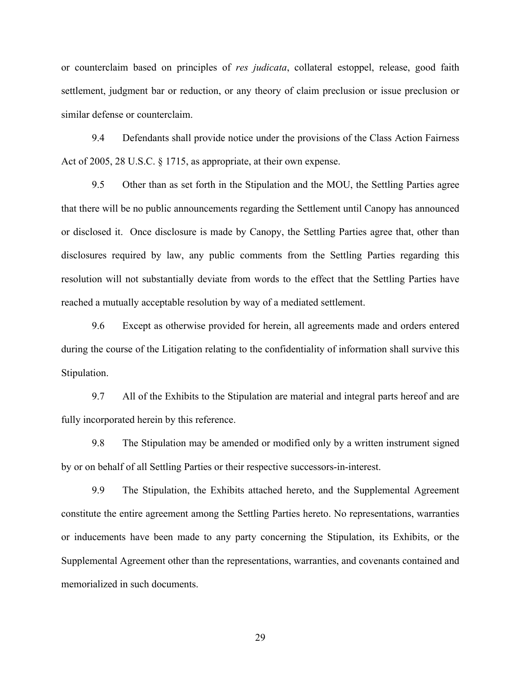or counterclaim based on principles of *res judicata*, collateral estoppel, release, good faith settlement, judgment bar or reduction, or any theory of claim preclusion or issue preclusion or similar defense or counterclaim.

9.4 Defendants shall provide notice under the provisions of the Class Action Fairness Act of 2005, 28 U.S.C. § 1715, as appropriate, at their own expense.

9.5 Other than as set forth in the Stipulation and the MOU, the Settling Parties agree that there will be no public announcements regarding the Settlement until Canopy has announced or disclosed it. Once disclosure is made by Canopy, the Settling Parties agree that, other than disclosures required by law, any public comments from the Settling Parties regarding this resolution will not substantially deviate from words to the effect that the Settling Parties have reached a mutually acceptable resolution by way of a mediated settlement.

9.6 Except as otherwise provided for herein, all agreements made and orders entered during the course of the Litigation relating to the confidentiality of information shall survive this Stipulation.

9.7 All of the Exhibits to the Stipulation are material and integral parts hereof and are fully incorporated herein by this reference.

9.8 The Stipulation may be amended or modified only by a written instrument signed by or on behalf of all Settling Parties or their respective successors-in-interest.

9.9 The Stipulation, the Exhibits attached hereto, and the Supplemental Agreement constitute the entire agreement among the Settling Parties hereto. No representations, warranties or inducements have been made to any party concerning the Stipulation, its Exhibits, or the Supplemental Agreement other than the representations, warranties, and covenants contained and memorialized in such documents.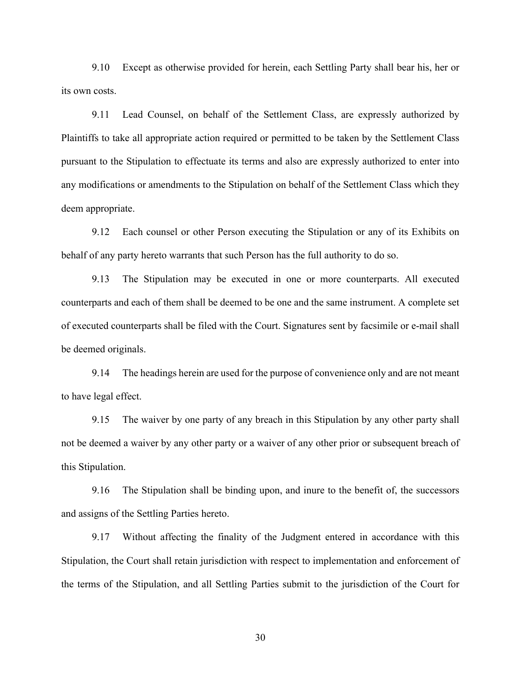9.10 Except as otherwise provided for herein, each Settling Party shall bear his, her or its own costs.

9.11 Lead Counsel, on behalf of the Settlement Class, are expressly authorized by Plaintiffs to take all appropriate action required or permitted to be taken by the Settlement Class pursuant to the Stipulation to effectuate its terms and also are expressly authorized to enter into any modifications or amendments to the Stipulation on behalf of the Settlement Class which they deem appropriate.

9.12 Each counsel or other Person executing the Stipulation or any of its Exhibits on behalf of any party hereto warrants that such Person has the full authority to do so.

9.13 The Stipulation may be executed in one or more counterparts. All executed counterparts and each of them shall be deemed to be one and the same instrument. A complete set of executed counterparts shall be filed with the Court. Signatures sent by facsimile or e-mail shall be deemed originals.

9.14 The headings herein are used for the purpose of convenience only and are not meant to have legal effect.

9.15 The waiver by one party of any breach in this Stipulation by any other party shall not be deemed a waiver by any other party or a waiver of any other prior or subsequent breach of this Stipulation.

9.16 The Stipulation shall be binding upon, and inure to the benefit of, the successors and assigns of the Settling Parties hereto.

9.17 Without affecting the finality of the Judgment entered in accordance with this Stipulation, the Court shall retain jurisdiction with respect to implementation and enforcement of the terms of the Stipulation, and all Settling Parties submit to the jurisdiction of the Court for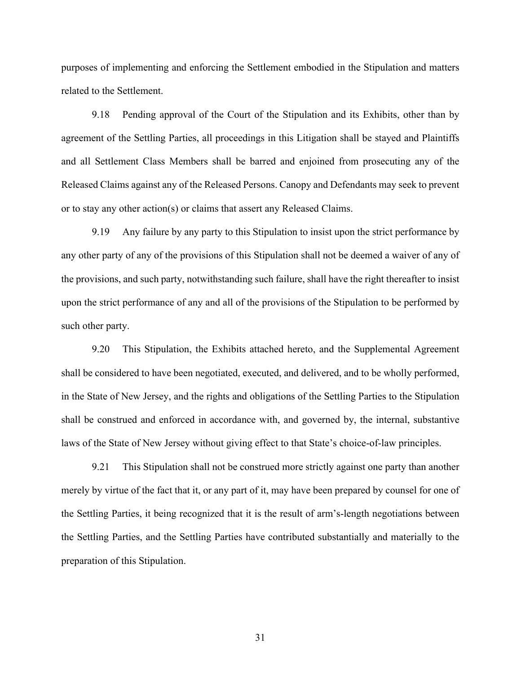purposes of implementing and enforcing the Settlement embodied in the Stipulation and matters related to the Settlement.

9.18 Pending approval of the Court of the Stipulation and its Exhibits, other than by agreement of the Settling Parties, all proceedings in this Litigation shall be stayed and Plaintiffs and all Settlement Class Members shall be barred and enjoined from prosecuting any of the Released Claims against any of the Released Persons. Canopy and Defendants may seek to prevent or to stay any other action(s) or claims that assert any Released Claims.

9.19 Any failure by any party to this Stipulation to insist upon the strict performance by any other party of any of the provisions of this Stipulation shall not be deemed a waiver of any of the provisions, and such party, notwithstanding such failure, shall have the right thereafter to insist upon the strict performance of any and all of the provisions of the Stipulation to be performed by such other party.

9.20 This Stipulation, the Exhibits attached hereto, and the Supplemental Agreement shall be considered to have been negotiated, executed, and delivered, and to be wholly performed, in the State of New Jersey, and the rights and obligations of the Settling Parties to the Stipulation shall be construed and enforced in accordance with, and governed by, the internal, substantive laws of the State of New Jersey without giving effect to that State's choice-of-law principles.

9.21 This Stipulation shall not be construed more strictly against one party than another merely by virtue of the fact that it, or any part of it, may have been prepared by counsel for one of the Settling Parties, it being recognized that it is the result of arm's-length negotiations between the Settling Parties, and the Settling Parties have contributed substantially and materially to the preparation of this Stipulation.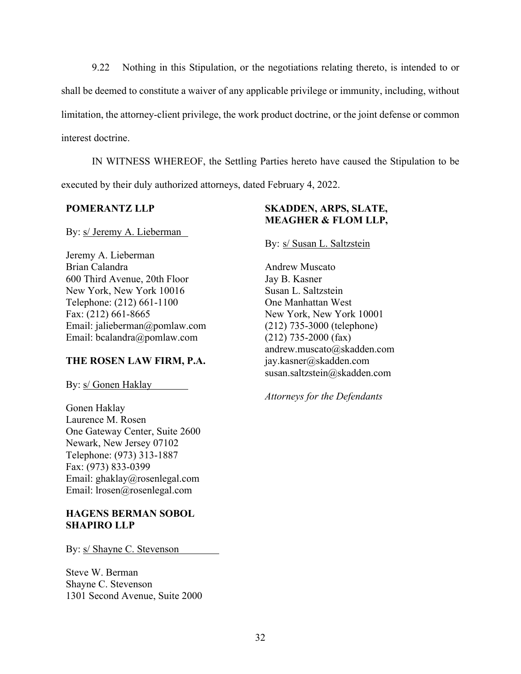9.22 Nothing in this Stipulation, or the negotiations relating thereto, is intended to or shall be deemed to constitute a waiver of any applicable privilege or immunity, including, without limitation, the attorney-client privilege, the work product doctrine, or the joint defense or common interest doctrine.

IN WITNESS WHEREOF, the Settling Parties hereto have caused the Stipulation to be executed by their duly authorized attorneys, dated February 4, 2022.

## **POMERANTZ LLP**

By: s/ Jeremy A. Lieberman

Jeremy A. Lieberman Brian Calandra 600 Third Avenue, 20th Floor New York, New York 10016 Telephone: (212) 661-1100 Fax: (212) 661-8665 Email: jalieberman@pomlaw.com Email: bcalandra@pomlaw.com

## **THE ROSEN LAW FIRM, P.A.**

By: s/ Gonen Haklay

Gonen Haklay Laurence M. Rosen One Gateway Center, Suite 2600 Newark, New Jersey 07102 Telephone: (973) 313-1887 Fax: (973) 833-0399 Email: ghaklay@rosenlegal.com Email: lrosen@rosenlegal.com

## **HAGENS BERMAN SOBOL SHAPIRO LLP**

By: s/ Shayne C. Stevenson

Steve W. Berman Shayne C. Stevenson 1301 Second Avenue, Suite 2000

# **SKADDEN, ARPS, SLATE, MEAGHER & FLOM LLP,**

By: s/ Susan L. Saltzstein

Andrew Muscato Jay B. Kasner Susan L. Saltzstein One Manhattan West New York, New York 10001 (212) 735-3000 (telephone) (212) 735-2000 (fax) andrew.muscato@skadden.com jay.kasner@skadden.com susan.saltzstein@skadden.com

*Attorneys for the Defendants*